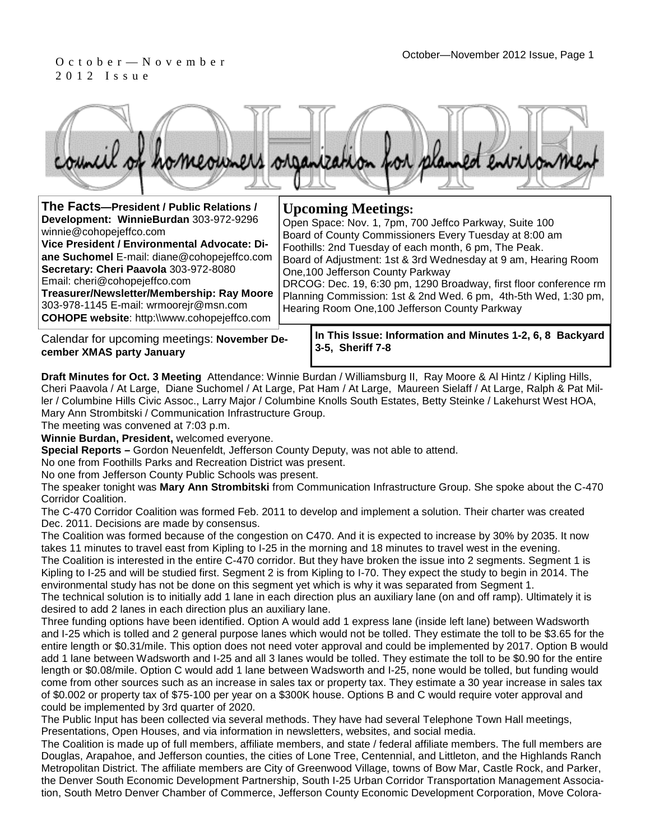## 2 0 1 2 I s s u e



| The Facts-President / Public Relations /                                                                                                                                                                                                                                                                                                                                                 | <b>Upcoming Meetings:</b>                                                                                                                                                                                                                                                                                                                                                                                                                                                  |
|------------------------------------------------------------------------------------------------------------------------------------------------------------------------------------------------------------------------------------------------------------------------------------------------------------------------------------------------------------------------------------------|----------------------------------------------------------------------------------------------------------------------------------------------------------------------------------------------------------------------------------------------------------------------------------------------------------------------------------------------------------------------------------------------------------------------------------------------------------------------------|
| Development: WinnieBurdan 303-972-9296<br>winnie@cohopejeffco.com<br>Vice President / Environmental Advocate: Di-<br>ane Suchomel E-mail: diane@cohopejeffco.com<br>Secretary: Cheri Paavola 303-972-8080<br>Email: cheri@cohopejeffco.com<br>Treasurer/Newsletter/Membership: Ray Moore<br>303-978-1145 E-mail: wrmoorejr@msn.com<br><b>COHOPE website: http://www.cohopejeffco.com</b> | Open Space: Nov. 1, 7pm, 700 Jeffco Parkway, Suite 100<br>Board of County Commissioners Every Tuesday at 8:00 am<br>Foothills: 2nd Tuesday of each month, 6 pm, The Peak.<br>Board of Adjustment: 1st & 3rd Wednesday at 9 am, Hearing Room<br>One, 100 Jefferson County Parkway<br>DRCOG: Dec. 19, 6:30 pm, 1290 Broadway, first floor conference rm<br>Planning Commission: 1st & 2nd Wed. 6 pm, 4th-5th Wed, 1:30 pm,<br>Hearing Room One, 100 Jefferson County Parkway |
|                                                                                                                                                                                                                                                                                                                                                                                          | to This leave, before other and Minutes 4.0.0.0. Bestuced.                                                                                                                                                                                                                                                                                                                                                                                                                 |

Calendar for upcoming meetings: **November December XMAS party January** 

**In This Issue: Information and Minutes 1-2, 6, 8 Backyard 3-5, Sheriff 7-8** 

**Draft Minutes for Oct. 3 Meeting** Attendance: Winnie Burdan / Williamsburg II, Ray Moore & Al Hintz / Kipling Hills, Cheri Paavola / At Large, Diane Suchomel / At Large, Pat Ham / At Large, Maureen Sielaff / At Large, Ralph & Pat Miller / Columbine Hills Civic Assoc., Larry Major / Columbine Knolls South Estates, Betty Steinke / Lakehurst West HOA, Mary Ann Strombitski / Communication Infrastructure Group.

The meeting was convened at 7:03 p.m.

**Winnie Burdan, President,** welcomed everyone.

**Special Reports –** Gordon Neuenfeldt, Jefferson County Deputy, was not able to attend.

No one from Foothills Parks and Recreation District was present.

No one from Jefferson County Public Schools was present.

The speaker tonight was **Mary Ann Strombitski** from Communication Infrastructure Group. She spoke about the C-470 Corridor Coalition.

The C-470 Corridor Coalition was formed Feb. 2011 to develop and implement a solution. Their charter was created Dec. 2011. Decisions are made by consensus.

The Coalition was formed because of the congestion on C470. And it is expected to increase by 30% by 2035. It now takes 11 minutes to travel east from Kipling to I-25 in the morning and 18 minutes to travel west in the evening. The Coalition is interested in the entire C-470 corridor. But they have broken the issue into 2 segments. Segment 1 is Kipling to I-25 and will be studied first. Segment 2 is from Kipling to I-70. They expect the study to begin in 2014. The environmental study has not be done on this segment yet which is why it was separated from Segment 1.

The technical solution is to initially add 1 lane in each direction plus an auxiliary lane (on and off ramp). Ultimately it is desired to add 2 lanes in each direction plus an auxiliary lane.

Three funding options have been identified. Option A would add 1 express lane (inside left lane) between Wadsworth and I-25 which is tolled and 2 general purpose lanes which would not be tolled. They estimate the toll to be \$3.65 for the entire length or \$0.31/mile. This option does not need voter approval and could be implemented by 2017. Option B would add 1 lane between Wadsworth and I-25 and all 3 lanes would be tolled. They estimate the toll to be \$0.90 for the entire length or \$0.08/mile. Option C would add 1 lane between Wadsworth and I-25, none would be tolled, but funding would come from other sources such as an increase in sales tax or property tax. They estimate a 30 year increase in sales tax of \$0.002 or property tax of \$75-100 per year on a \$300K house. Options B and C would require voter approval and could be implemented by 3rd quarter of 2020.

The Public Input has been collected via several methods. They have had several Telephone Town Hall meetings, Presentations, Open Houses, and via information in newsletters, websites, and social media.

The Coalition is made up of full members, affiliate members, and state / federal affiliate members. The full members are Douglas, Arapahoe, and Jefferson counties, the cities of Lone Tree, Centennial, and Littleton, and the Highlands Ranch Metropolitan District. The affiliate members are City of Greenwood Village, towns of Bow Mar, Castle Rock, and Parker, the Denver South Economic Development Partnership, South I-25 Urban Corridor Transportation Management Association, South Metro Denver Chamber of Commerce, Jefferson County Economic Development Corporation, Move Colora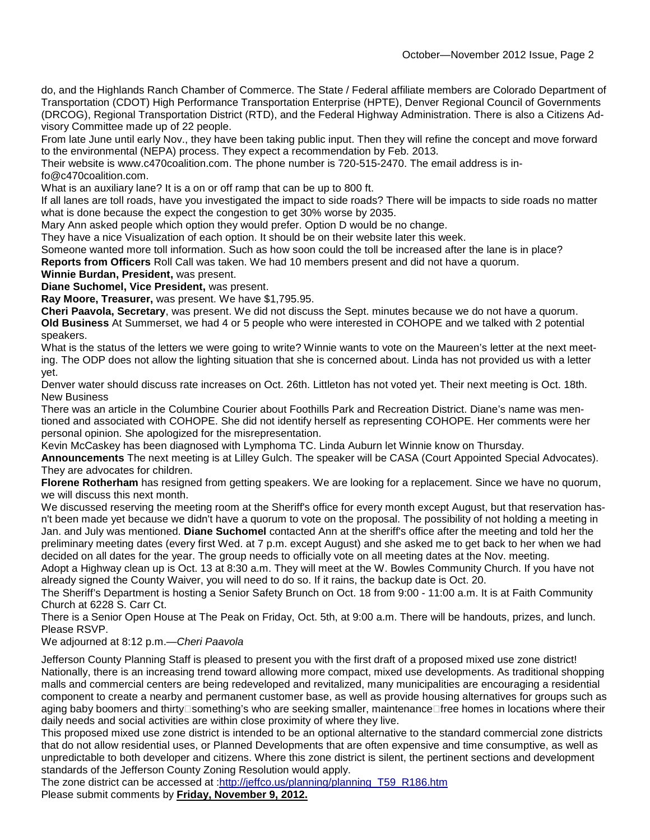do, and the Highlands Ranch Chamber of Commerce. The State / Federal affiliate members are Colorado Department of Transportation (CDOT) High Performance Transportation Enterprise (HPTE), Denver Regional Council of Governments (DRCOG), Regional Transportation District (RTD), and the Federal Highway Administration. There is also a Citizens Advisory Committee made up of 22 people.

From late June until early Nov., they have been taking public input. Then they will refine the concept and move forward to the environmental (NEPA) process. They expect a recommendation by Feb. 2013.

Their website is www.c470coalition.com. The phone number is 720-515-2470. The email address is info@c470coalition.com.

What is an auxiliary lane? It is a on or off ramp that can be up to 800 ft.

If all lanes are toll roads, have you investigated the impact to side roads? There will be impacts to side roads no matter what is done because the expect the congestion to get 30% worse by 2035.

Mary Ann asked people which option they would prefer. Option D would be no change.

They have a nice Visualization of each option. It should be on their website later this week.

Someone wanted more toll information. Such as how soon could the toll be increased after the lane is in place?

**Reports from Officers** Roll Call was taken. We had 10 members present and did not have a quorum.

#### **Winnie Burdan, President,** was present.

**Diane Suchomel, Vice President,** was present.

**Ray Moore, Treasurer,** was present. We have \$1,795.95.

**Cheri Paavola, Secretary**, was present. We did not discuss the Sept. minutes because we do not have a quorum. **Old Business** At Summerset, we had 4 or 5 people who were interested in COHOPE and we talked with 2 potential speakers.

What is the status of the letters we were going to write? Winnie wants to vote on the Maureen's letter at the next meeting. The ODP does not allow the lighting situation that she is concerned about. Linda has not provided us with a letter yet.

Denver water should discuss rate increases on Oct. 26th. Littleton has not voted yet. Their next meeting is Oct. 18th. New Business

There was an article in the Columbine Courier about Foothills Park and Recreation District. Diane's name was mentioned and associated with COHOPE. She did not identify herself as representing COHOPE. Her comments were her personal opinion. She apologized for the misrepresentation.

Kevin McCaskey has been diagnosed with Lymphoma TC. Linda Auburn let Winnie know on Thursday.

**Announcements** The next meeting is at Lilley Gulch. The speaker will be CASA (Court Appointed Special Advocates). They are advocates for children.

**Florene Rotherham** has resigned from getting speakers. We are looking for a replacement. Since we have no quorum, we will discuss this next month.

We discussed reserving the meeting room at the Sheriff's office for every month except August, but that reservation hasn't been made yet because we didn't have a quorum to vote on the proposal. The possibility of not holding a meeting in Jan. and July was mentioned. **Diane Suchomel** contacted Ann at the sheriff's office after the meeting and told her the preliminary meeting dates (every first Wed. at 7 p.m. except August) and she asked me to get back to her when we had decided on all dates for the year. The group needs to officially vote on all meeting dates at the Nov. meeting.

Adopt a Highway clean up is Oct. 13 at 8:30 a.m. They will meet at the W. Bowles Community Church. If you have not already signed the County Waiver, you will need to do so. If it rains, the backup date is Oct. 20.

The Sheriff's Department is hosting a Senior Safety Brunch on Oct. 18 from 9:00 - 11:00 a.m. It is at Faith Community Church at 6228 S. Carr Ct.

There is a Senior Open House at The Peak on Friday, Oct. 5th, at 9:00 a.m. There will be handouts, prizes, and lunch. Please RSVP.

#### We adjourned at 8:12 p.m.-Cheri Paavola

Jefferson County Planning Staff is pleased to present you with the first draft of a proposed mixed use zone district! Nationally, there is an increasing trend toward allowing more compact, mixed use developments. As traditional shopping malls and commercial centers are being redeveloped and revitalized, many municipalities are encouraging a residential component to create a nearby and permanent customer base, as well as provide housing alternatives for groups such as aging baby boomers and thirty something's who are seeking smaller, maintenance free homes in locations where their daily needs and social activities are within close proximity of where they live.

This proposed mixed use zone district is intended to be an optional alternative to the standard commercial zone districts that do not allow residential uses, or Planned Developments that are often expensive and time consumptive, as well as unpredictable to both developer and citizens. Where this zone district is silent, the pertinent sections and development standards of the Jefferson County Zoning Resolution would apply.

The zone district can be accessed at :http://jeffco.us/planning/planning\_T59\_R186.htm Please submit comments by **Friday, November 9, 2012.**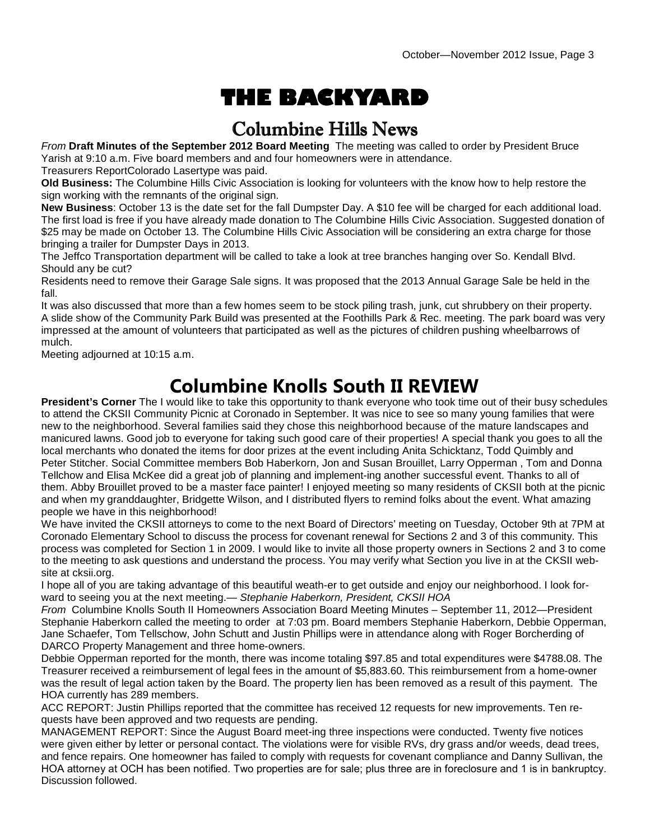# **THE BACKYARD**

### Columbine Hills News

From **Draft Minutes of the September 2012 Board Meeting** The meeting was called to order by President Bruce Yarish at 9:10 a.m. Five board members and and four homeowners were in attendance.

Treasurers ReportColorado Lasertype was paid.

**Old Business:** The Columbine Hills Civic Association is looking for volunteers with the know how to help restore the sign working with the remnants of the original sign.

**New Business**: October 13 is the date set for the fall Dumpster Day. A \$10 fee will be charged for each additional load. The first load is free if you have already made donation to The Columbine Hills Civic Association. Suggested donation of \$25 may be made on October 13. The Columbine Hills Civic Association will be considering an extra charge for those bringing a trailer for Dumpster Days in 2013.

The Jeffco Transportation department will be called to take a look at tree branches hanging over So. Kendall Blvd. Should any be cut?

Residents need to remove their Garage Sale signs. It was proposed that the 2013 Annual Garage Sale be held in the fall.

It was also discussed that more than a few homes seem to be stock piling trash, junk, cut shrubbery on their property. A slide show of the Community Park Build was presented at the Foothills Park & Rec. meeting. The park board was very impressed at the amount of volunteers that participated as well as the pictures of children pushing wheelbarrows of mulch.

Meeting adjourned at 10:15 a.m.

### **Columbine Knolls South II REVIEW**

**President's Corner** The I would like to take this opportunity to thank everyone who took time out of their busy schedules to attend the CKSII Community Picnic at Coronado in September. It was nice to see so many young families that were new to the neighborhood. Several families said they chose this neighborhood because of the mature landscapes and manicured lawns. Good job to everyone for taking such good care of their properties! A special thank you goes to all the local merchants who donated the items for door prizes at the event including Anita Schicktanz, Todd Quimbly and Peter Stitcher. Social Committee members Bob Haberkorn, Jon and Susan Brouillet, Larry Opperman , Tom and Donna Tellchow and Elisa McKee did a great job of planning and implement-ing another successful event. Thanks to all of them. Abby Brouillet proved to be a master face painter! I enjoyed meeting so many residents of CKSII both at the picnic and when my granddaughter, Bridgette Wilson, and I distributed flyers to remind folks about the event. What amazing people we have in this neighborhood!

We have invited the CKSII attorneys to come to the next Board of Directors' meeting on Tuesday, October 9th at 7PM at Coronado Elementary School to discuss the process for covenant renewal for Sections 2 and 3 of this community. This process was completed for Section 1 in 2009. I would like to invite all those property owners in Sections 2 and 3 to come to the meeting to ask questions and understand the process. You may verify what Section you live in at the CKSII website at cksii.org.

I hope all of you are taking advantage of this beautiful weath-er to get outside and enjoy our neighborhood. I look forward to seeing you at the next meeting.— Stephanie Haberkorn, President, CKSII HOA

From Columbine Knolls South II Homeowners Association Board Meeting Minutes – September 11, 2012—President Stephanie Haberkorn called the meeting to order at 7:03 pm. Board members Stephanie Haberkorn, Debbie Opperman, Jane Schaefer, Tom Tellschow, John Schutt and Justin Phillips were in attendance along with Roger Borcherding of DARCO Property Management and three home-owners.

Debbie Opperman reported for the month, there was income totaling \$97.85 and total expenditures were \$4788.08. The Treasurer received a reimbursement of legal fees in the amount of \$5,883.60. This reimbursement from a home-owner was the result of legal action taken by the Board. The property lien has been removed as a result of this payment. The HOA currently has 289 members.

ACC REPORT: Justin Phillips reported that the committee has received 12 requests for new improvements. Ten requests have been approved and two requests are pending.

MANAGEMENT REPORT: Since the August Board meet-ing three inspections were conducted. Twenty five notices were given either by letter or personal contact. The violations were for visible RVs, dry grass and/or weeds, dead trees, and fence repairs. One homeowner has failed to comply with requests for covenant compliance and Danny Sullivan, the HOA attorney at OCH has been notified. Two properties are for sale; plus three are in foreclosure and 1 is in bankruptcy. Discussion followed.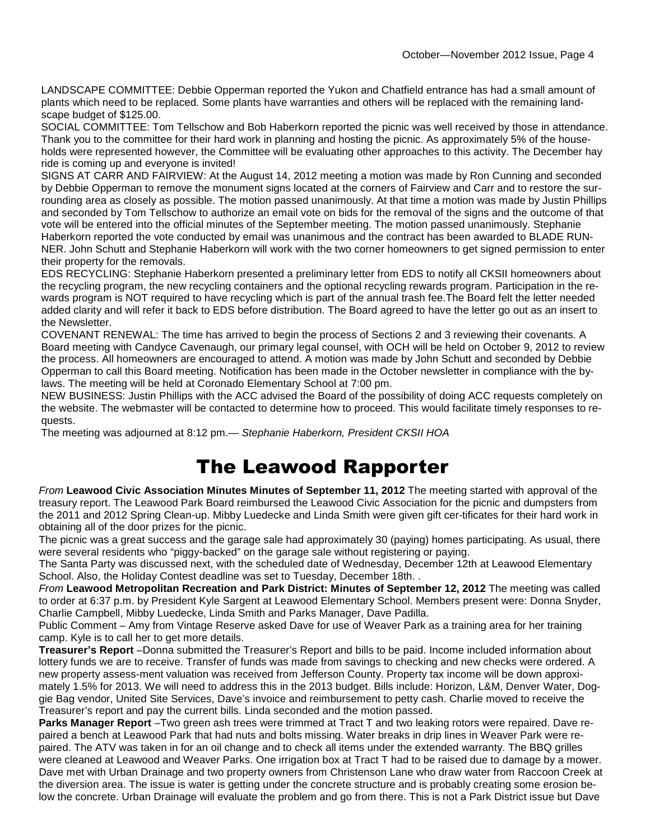LANDSCAPE COMMITTEE: Debbie Opperman reported the Yukon and Chatfield entrance has had a small amount of plants which need to be replaced. Some plants have warranties and others will be replaced with the remaining landscape budget of \$125.00.

SOCIAL COMMITTEE: Tom Tellschow and Bob Haberkorn reported the picnic was well received by those in attendance. Thank you to the committee for their hard work in planning and hosting the picnic. As approximately 5% of the households were represented however, the Committee will be evaluating other approaches to this activity. The December hay ride is coming up and everyone is invited!

SIGNS AT CARR AND FAIRVIEW: At the August 14, 2012 meeting a motion was made by Ron Cunning and seconded by Debbie Opperman to remove the monument signs located at the corners of Fairview and Carr and to restore the surrounding area as closely as possible. The motion passed unanimously. At that time a motion was made by Justin Phillips and seconded by Tom Tellschow to authorize an email vote on bids for the removal of the signs and the outcome of that vote will be entered into the official minutes of the September meeting. The motion passed unanimously. Stephanie Haberkorn reported the vote conducted by email was unanimous and the contract has been awarded to BLADE RUN-NER. John Schutt and Stephanie Haberkorn will work with the two corner homeowners to get signed permission to enter their property for the removals.

EDS RECYCLING: Stephanie Haberkorn presented a preliminary letter from EDS to notify all CKSII homeowners about the recycling program, the new recycling containers and the optional recycling rewards program. Participation in the rewards program is NOT required to have recycling which is part of the annual trash fee.The Board felt the letter needed added clarity and will refer it back to EDS before distribution. The Board agreed to have the letter go out as an insert to the Newsletter.

COVENANT RENEWAL: The time has arrived to begin the process of Sections 2 and 3 reviewing their covenants. A Board meeting with Candyce Cavenaugh, our primary legal counsel, with OCH will be held on October 9, 2012 to review the process. All homeowners are encouraged to attend. A motion was made by John Schutt and seconded by Debbie Opperman to call this Board meeting. Notification has been made in the October newsletter in compliance with the bylaws. The meeting will be held at Coronado Elementary School at 7:00 pm.

NEW BUSINESS: Justin Phillips with the ACC advised the Board of the possibility of doing ACC requests completely on the website. The webmaster will be contacted to determine how to proceed. This would facilitate timely responses to requests.

The meeting was adjourned at 8:12 pm.— Stephanie Haberkorn, President CKSII HOA

### The Leawood Rapporter

From **Leawood Civic Association Minutes Minutes of September 11, 2012** The meeting started with approval of the treasury report. The Leawood Park Board reimbursed the Leawood Civic Association for the picnic and dumpsters from the 2011 and 2012 Spring Clean-up. Mibby Luedecke and Linda Smith were given gift cer-tificates for their hard work in obtaining all of the door prizes for the picnic.

The picnic was a great success and the garage sale had approximately 30 (paying) homes participating. As usual, there were several residents who "piggy-backed" on the garage sale without registering or paying.

The Santa Party was discussed next, with the scheduled date of Wednesday, December 12th at Leawood Elementary School. Also, the Holiday Contest deadline was set to Tuesday, December 18th. .

From **Leawood Metropolitan Recreation and Park District: Minutes of September 12, 2012** The meeting was called to order at 6:37 p.m. by President Kyle Sargent at Leawood Elementary School. Members present were: Donna Snyder, Charlie Campbell, Mibby Luedecke, Linda Smith and Parks Manager, Dave Padilla.

Public Comment – Amy from Vintage Reserve asked Dave for use of Weaver Park as a training area for her training camp. Kyle is to call her to get more details.

**Treasurer's Report** –Donna submitted the Treasurer's Report and bills to be paid. Income included information about lottery funds we are to receive. Transfer of funds was made from savings to checking and new checks were ordered. A new property assess-ment valuation was received from Jefferson County. Property tax income will be down approximately 1.5% for 2013. We will need to address this in the 2013 budget. Bills include: Horizon, L&M, Denver Water, Doggie Bag vendor, United Site Services, Dave's invoice and reimbursement to petty cash. Charlie moved to receive the Treasurer's report and pay the current bills. Linda seconded and the motion passed.

**Parks Manager Report** –Two green ash trees were trimmed at Tract T and two leaking rotors were repaired. Dave repaired a bench at Leawood Park that had nuts and bolts missing. Water breaks in drip lines in Weaver Park were repaired. The ATV was taken in for an oil change and to check all items under the extended warranty. The BBQ grilles were cleaned at Leawood and Weaver Parks. One irrigation box at Tract T had to be raised due to damage by a mower. Dave met with Urban Drainage and two property owners from Christenson Lane who draw water from Raccoon Creek at the diversion area. The issue is water is getting under the concrete structure and is probably creating some erosion below the concrete. Urban Drainage will evaluate the problem and go from there. This is not a Park District issue but Dave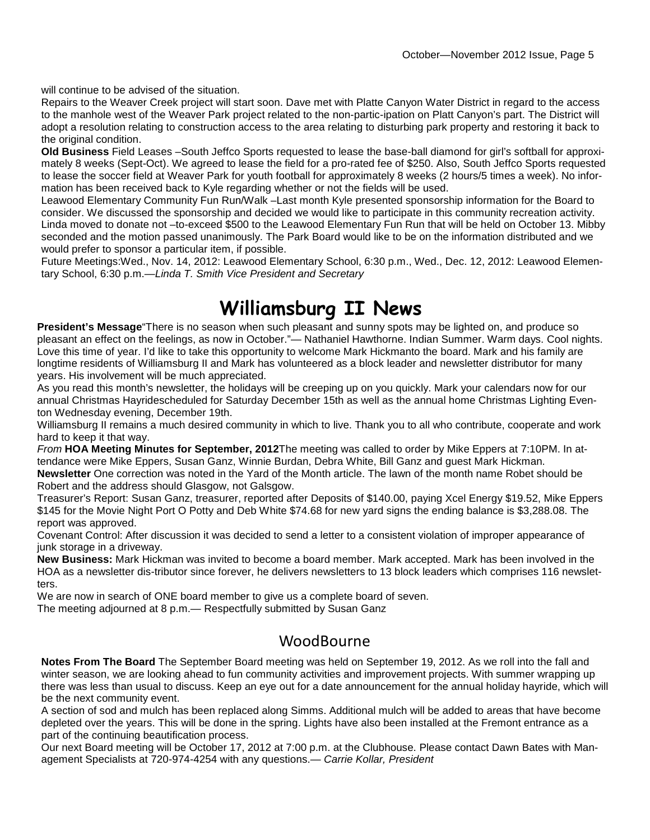will continue to be advised of the situation.

Repairs to the Weaver Creek project will start soon. Dave met with Platte Canyon Water District in regard to the access to the manhole west of the Weaver Park project related to the non-partic-ipation on Platt Canyon's part. The District will adopt a resolution relating to construction access to the area relating to disturbing park property and restoring it back to the original condition.

**Old Business** Field Leases –South Jeffco Sports requested to lease the base-ball diamond for girl's softball for approximately 8 weeks (Sept-Oct). We agreed to lease the field for a pro-rated fee of \$250. Also, South Jeffco Sports requested to lease the soccer field at Weaver Park for youth football for approximately 8 weeks (2 hours/5 times a week). No information has been received back to Kyle regarding whether or not the fields will be used.

Leawood Elementary Community Fun Run/Walk –Last month Kyle presented sponsorship information for the Board to consider. We discussed the sponsorship and decided we would like to participate in this community recreation activity. Linda moved to donate not –to-exceed \$500 to the Leawood Elementary Fun Run that will be held on October 13. Mibby seconded and the motion passed unanimously. The Park Board would like to be on the information distributed and we would prefer to sponsor a particular item, if possible.

Future Meetings:Wed., Nov. 14, 2012: Leawood Elementary School, 6:30 p.m., Wed., Dec. 12, 2012: Leawood Elementary School, 6:30 p.m.—Linda T. Smith Vice President and Secretary

## **Williamsburg II News**

**President's Message**"There is no season when such pleasant and sunny spots may be lighted on, and produce so pleasant an effect on the feelings, as now in October."— Nathaniel Hawthorne. Indian Summer. Warm days. Cool nights. Love this time of year. I'd like to take this opportunity to welcome Mark Hickmanto the board. Mark and his family are longtime residents of Williamsburg II and Mark has volunteered as a block leader and newsletter distributor for many years. His involvement will be much appreciated.

As you read this month's newsletter, the holidays will be creeping up on you quickly. Mark your calendars now for our annual Christmas Hayridescheduled for Saturday December 15th as well as the annual home Christmas Lighting Eventon Wednesday evening, December 19th.

Williamsburg II remains a much desired community in which to live. Thank you to all who contribute, cooperate and work hard to keep it that way.

From **HOA Meeting Minutes for September, 2012**The meeting was called to order by Mike Eppers at 7:10PM. In attendance were Mike Eppers, Susan Ganz, Winnie Burdan, Debra White, Bill Ganz and guest Mark Hickman. **Newsletter** One correction was noted in the Yard of the Month article. The lawn of the month name Robet should be Robert and the address should Glasgow, not Galsgow.

Treasurer's Report: Susan Ganz, treasurer, reported after Deposits of \$140.00, paying Xcel Energy \$19.52, Mike Eppers \$145 for the Movie Night Port O Potty and Deb White \$74.68 for new yard signs the ending balance is \$3,288.08. The report was approved.

Covenant Control: After discussion it was decided to send a letter to a consistent violation of improper appearance of junk storage in a driveway.

**New Business:** Mark Hickman was invited to become a board member. Mark accepted. Mark has been involved in the HOA as a newsletter dis-tributor since forever, he delivers newsletters to 13 block leaders which comprises 116 newsletters.

We are now in search of ONE board member to give us a complete board of seven.

The meeting adjourned at 8 p.m.— Respectfully submitted by Susan Ganz

### WoodBourne

**Notes From The Board** The September Board meeting was held on September 19, 2012. As we roll into the fall and winter season, we are looking ahead to fun community activities and improvement projects. With summer wrapping up there was less than usual to discuss. Keep an eye out for a date announcement for the annual holiday hayride, which will be the next community event.

A section of sod and mulch has been replaced along Simms. Additional mulch will be added to areas that have become depleted over the years. This will be done in the spring. Lights have also been installed at the Fremont entrance as a part of the continuing beautification process.

Our next Board meeting will be October 17, 2012 at 7:00 p.m. at the Clubhouse. Please contact Dawn Bates with Management Specialists at 720-974-4254 with any questions.— Carrie Kollar, President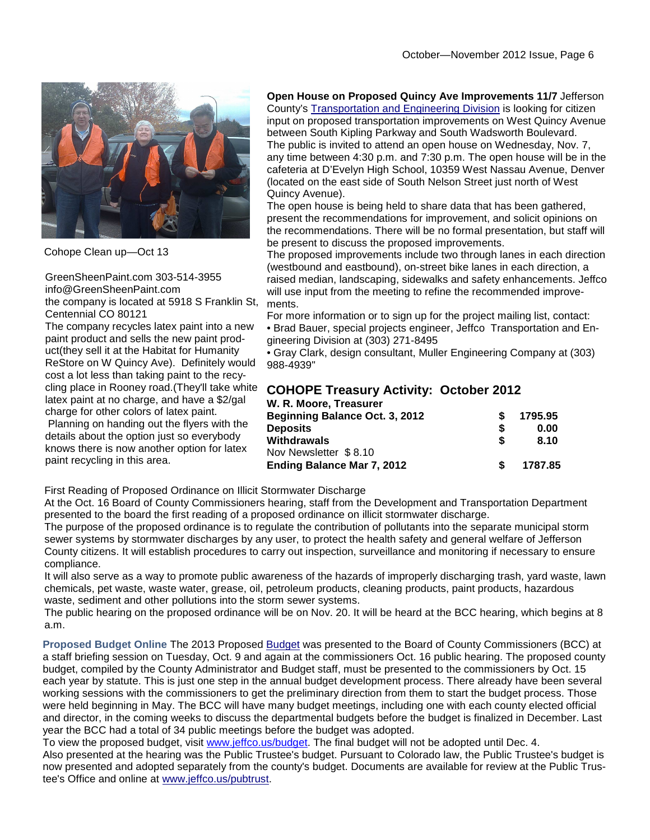

Cohope Clean up—Oct 13

GreenSheenPaint.com 303-514-3955 info@GreenSheenPaint.com the company is located at 5918 S Franklin St, Centennial CO 80121

The company recycles latex paint into a new paint product and sells the new paint product(they sell it at the Habitat for Humanity ReStore on W Quincy Ave). Definitely would cost a lot less than taking paint to the recycling place in Rooney road.(They'll take white latex paint at no charge, and have a \$2/gal charge for other colors of latex paint. Planning on handing out the flyers with the details about the option just so everybody knows there is now another option for latex paint recycling in this area.

#### **Open House on Proposed Quincy Ave Improvements 11/7** Jefferson

County's Transportation and Engineering Division is looking for citizen input on proposed transportation improvements on West Quincy Avenue between South Kipling Parkway and South Wadsworth Boulevard. The public is invited to attend an open house on Wednesday, Nov. 7, any time between 4:30 p.m. and 7:30 p.m. The open house will be in the cafeteria at D'Evelyn High School, 10359 West Nassau Avenue, Denver (located on the east side of South Nelson Street just north of West Quincy Avenue).

The open house is being held to share data that has been gathered, present the recommendations for improvement, and solicit opinions on the recommendations. There will be no formal presentation, but staff will be present to discuss the proposed improvements.

The proposed improvements include two through lanes in each direction (westbound and eastbound), on-street bike lanes in each direction, a raised median, landscaping, sidewalks and safety enhancements. Jeffco will use input from the meeting to refine the recommended improvements.

For more information or to sign up for the project mailing list, contact: • Brad Bauer, special projects engineer, Jeffco Transportation and Engineering Division at (303) 271-8495

• Gray Clark, design consultant, Muller Engineering Company at (303) 988-4939"

#### **COHOPE Treasury Activity: October 2012 W. R. Moore, Treasurer**

|    | 1795.95 |
|----|---------|
|    | 0.00    |
| S  | 8.10    |
|    |         |
| S. | 1787.85 |
|    |         |

First Reading of Proposed Ordinance on Illicit Stormwater Discharge

At the Oct. 16 Board of County Commissioners hearing, staff from the Development and Transportation Department presented to the board the first reading of a proposed ordinance on illicit stormwater discharge.

The purpose of the proposed ordinance is to regulate the contribution of pollutants into the separate municipal storm sewer systems by stormwater discharges by any user, to protect the health safety and general welfare of Jefferson County citizens. It will establish procedures to carry out inspection, surveillance and monitoring if necessary to ensure compliance.

It will also serve as a way to promote public awareness of the hazards of improperly discharging trash, yard waste, lawn chemicals, pet waste, waste water, grease, oil, petroleum products, cleaning products, paint products, hazardous waste, sediment and other pollutions into the storm sewer systems.

The public hearing on the proposed ordinance will be on Nov. 20. It will be heard at the BCC hearing, which begins at 8 a.m.

**Proposed Budget Online** The 2013 Proposed Budget was presented to the Board of County Commissioners (BCC) at a staff briefing session on Tuesday, Oct. 9 and again at the commissioners Oct. 16 public hearing. The proposed county budget, compiled by the County Administrator and Budget staff, must be presented to the commissioners by Oct. 15 each year by statute. This is just one step in the annual budget development process. There already have been several working sessions with the commissioners to get the preliminary direction from them to start the budget process. Those were held beginning in May. The BCC will have many budget meetings, including one with each county elected official and director, in the coming weeks to discuss the departmental budgets before the budget is finalized in December. Last year the BCC had a total of 34 public meetings before the budget was adopted.

To view the proposed budget, visit www.jeffco.us/budget. The final budget will not be adopted until Dec. 4. Also presented at the hearing was the Public Trustee's budget. Pursuant to Colorado law, the Public Trustee's budget is now presented and adopted separately from the county's budget. Documents are available for review at the Public Trustee's Office and online at www.jeffco.us/pubtrust.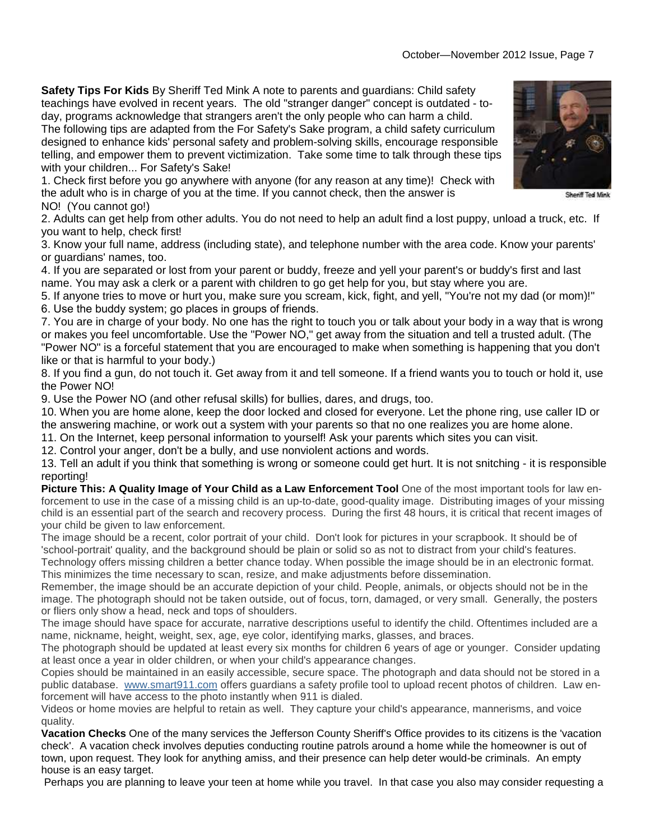**Safety Tips For Kids** By Sheriff Ted Mink A note to parents and guardians: Child safety teachings have evolved in recent years. The old "stranger danger" concept is outdated - today, programs acknowledge that strangers aren't the only people who can harm a child. The following tips are adapted from the For Safety's Sake program, a child safety curriculum

designed to enhance kids' personal safety and problem-solving skills, encourage responsible telling, and empower them to prevent victimization. Take some time to talk through these tips with your children... For Safety's Sake!

1. Check first before you go anywhere with anyone (for any reason at any time)! Check with the adult who is in charge of you at the time. If you cannot check, then the answer is NO! (You cannot go!)

2. Adults can get help from other adults. You do not need to help an adult find a lost puppy, unload a truck, etc. If you want to help, check first!

3. Know your full name, address (including state), and telephone number with the area code. Know your parents' or guardians' names, too.

4. If you are separated or lost from your parent or buddy, freeze and yell your parent's or buddy's first and last name. You may ask a clerk or a parent with children to go get help for you, but stay where you are.

5. If anyone tries to move or hurt you, make sure you scream, kick, fight, and yell, "You're not my dad (or mom)!" 6. Use the buddy system; go places in groups of friends.

7. You are in charge of your body. No one has the right to touch you or talk about your body in a way that is wrong or makes you feel uncomfortable. Use the "Power NO," get away from the situation and tell a trusted adult. (The "Power NO" is a forceful statement that you are encouraged to make when something is happening that you don't like or that is harmful to your body.)

8. If you find a gun, do not touch it. Get away from it and tell someone. If a friend wants you to touch or hold it, use the Power NO!

9. Use the Power NO (and other refusal skills) for bullies, dares, and drugs, too.

10. When you are home alone, keep the door locked and closed for everyone. Let the phone ring, use caller ID or the answering machine, or work out a system with your parents so that no one realizes you are home alone.

11. On the Internet, keep personal information to yourself! Ask your parents which sites you can visit.

12. Control your anger, don't be a bully, and use nonviolent actions and words.

13. Tell an adult if you think that something is wrong or someone could get hurt. It is not snitching - it is responsible reporting!

**Picture This: A Quality Image of Your Child as a Law Enforcement Tool** One of the most important tools for law enforcement to use in the case of a missing child is an up-to-date, good-quality image. Distributing images of your missing child is an essential part of the search and recovery process. During the first 48 hours, it is critical that recent images of your child be given to law enforcement.

The image should be a recent, color portrait of your child. Don't look for pictures in your scrapbook. It should be of 'school-portrait' quality, and the background should be plain or solid so as not to distract from your child's features.

Technology offers missing children a better chance today. When possible the image should be in an electronic format. This minimizes the time necessary to scan, resize, and make adjustments before dissemination.

Remember, the image should be an accurate depiction of your child. People, animals, or objects should not be in the image. The photograph should not be taken outside, out of focus, torn, damaged, or very small. Generally, the posters or fliers only show a head, neck and tops of shoulders.

The image should have space for accurate, narrative descriptions useful to identify the child. Oftentimes included are a name, nickname, height, weight, sex, age, eye color, identifying marks, glasses, and braces.

The photograph should be updated at least every six months for children 6 years of age or younger. Consider updating at least once a year in older children, or when your child's appearance changes.

Copies should be maintained in an easily accessible, secure space. The photograph and data should not be stored in a public database. www.smart911.com offers guardians a safety profile tool to upload recent photos of children. Law enforcement will have access to the photo instantly when 911 is dialed.

Videos or home movies are helpful to retain as well. They capture your child's appearance, mannerisms, and voice quality.

**Vacation Checks** One of the many services the Jefferson County Sheriff's Office provides to its citizens is the 'vacation check'. A vacation check involves deputies conducting routine patrols around a home while the homeowner is out of town, upon request. They look for anything amiss, and their presence can help deter would-be criminals. An empty house is an easy target.

Perhaps you are planning to leave your teen at home while you travel. In that case you also may consider requesting a